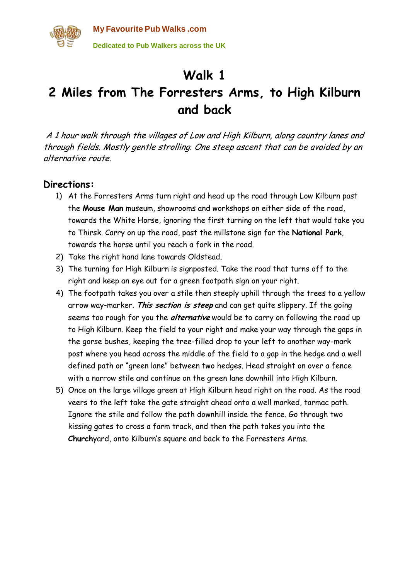

## **Walk 1**

## **2 Miles from The Forresters Arms, to High Kilburn and back**

A 1 hour walk through the villages of Low and High Kilburn, along country lanes and through fields. Mostly gentle strolling. One steep ascent that can be avoided by an alternative route.

## **Directions:**

- 1) At the Forresters Arms turn right and head up the road through Low Kilburn past the **Mouse Man** museum, showrooms and workshops on either side of the road, towards the White Horse, ignoring the first turning on the left that would take you to Thirsk. Carry on up the road, past the millstone sign for the **National Park**, towards the horse until you reach a fork in the road.
- 2) Take the right hand lane towards Oldstead.
- 3) The turning for High Kilburn is signposted. Take the road that turns off to the right and keep an eye out for a green footpath sign on your right.
- 4) The footpath takes you over a stile then steeply uphill through the trees to a yellow arrow way-marker. **This section is steep** and can get quite slippery. If the going seems too rough for you the **alternative** would be to carry on following the road up to High Kilburn. Keep the field to your right and make your way through the gaps in the gorse bushes, keeping the tree-filled drop to your left to another way-mark post where you head across the middle of the field to a gap in the hedge and a well defined path or "green lane" between two hedges. Head straight on over a fence with a narrow stile and continue on the green lane downhill into High Kilburn.
- 5) Once on the large village green at High Kilburn head right on the road. As the road veers to the left take the gate straight ahead onto a well marked, tarmac path. Ignore the stile and follow the path downhill inside the fence. Go through two kissing gates to cross a farm track, and then the path takes you into the **Church**yard, onto Kilburn's square and back to the Forresters Arms.